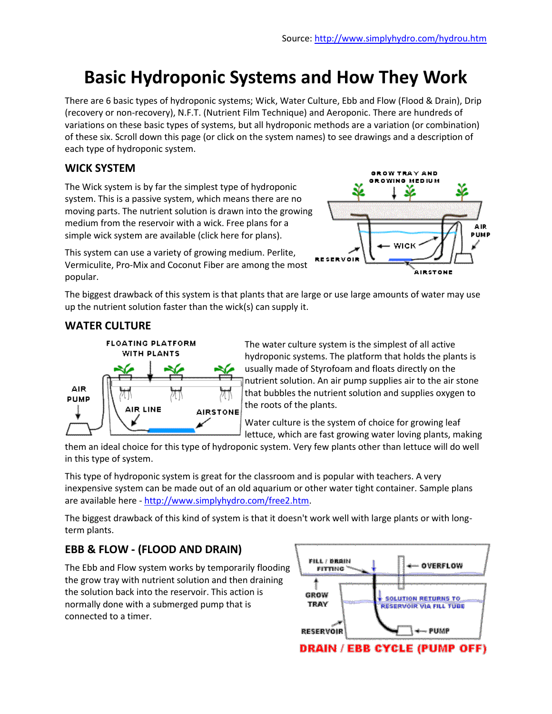# **Basic Hydroponic Systems and How They Work**

There are 6 basic types of hydroponic systems; Wick, Water Culture, Ebb and Flow (Flood & Drain), Drip (recovery or non-recovery), N.F.T. (Nutrient Film Technique) and Aeroponic. There are hundreds of variations on these basic types of systems, but all hydroponic methods are a variation (or combination) of these six. Scroll down this page (or click on the system names) to see drawings and a description of each type of hydroponic system.

## **WICK SYSTEM**

The Wick system is by far the simplest type of hydroponic system. This is a passive system, which means there are no moving parts. The nutrient solution is drawn into the growing medium from the reservoir with a wick. Free plans for a simple wick system are available (click here for plans).

This system can use a variety of growing medium. Perlite, Vermiculite, Pro-Mix and Coconut Fiber are among the most popular.

The biggest drawback of this system is that plants that are large or use large amounts of water may use up the nutrient solution faster than the wick(s) can supply it.

## **WATER CULTURE**



The water culture system is the simplest of all active hydroponic systems. The platform that holds the plants is usually made of Styrofoam and floats directly on the nutrient solution. An air pump supplies air to the air stone that bubbles the nutrient solution and supplies oxygen to the roots of the plants.

Water culture is the system of choice for growing leaf lettuce, which are fast growing water loving plants, making

them an ideal choice for this type of hydroponic system. Very few plants other than lettuce will do well in this type of system.

This type of hydroponic system is great for the classroom and is popular with teachers. A very inexpensive system can be made out of an old aquarium or other water tight container. Sample plans are available here - [http://www.simplyhydro.com/free2.htm.](http://www.simplyhydro.com/free2.htm)

The biggest drawback of this kind of system is that it doesn't work well with large plants or with longterm plants.

# **EBB & FLOW - (FLOOD AND DRAIN)**

The Ebb and Flow system works by temporarily flooding the grow tray with nutrient solution and then draining the solution back into the reservoir. This action is normally done with a submerged pump that is connected to a timer.



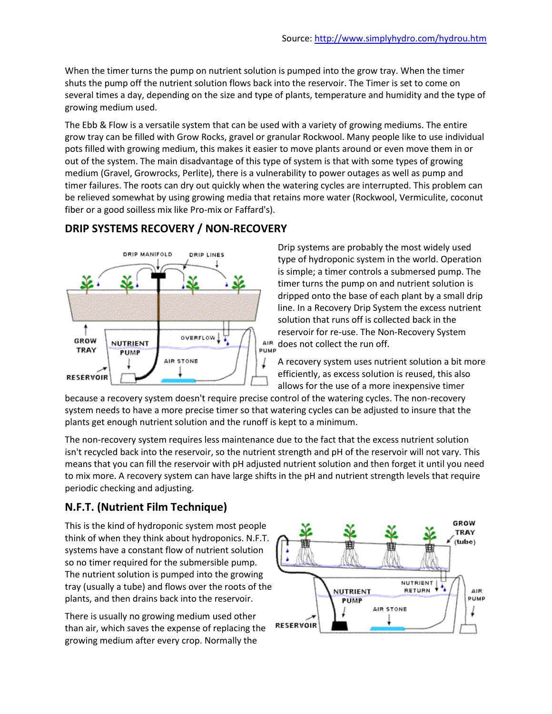When the timer turns the pump on nutrient solution is pumped into the grow tray. When the timer shuts the pump off the nutrient solution flows back into the reservoir. The Timer is set to come on several times a day, depending on the size and type of plants, temperature and humidity and the type of growing medium used.

The Ebb & Flow is a versatile system that can be used with a variety of growing mediums. The entire grow tray can be filled with Grow Rocks, gravel or granular Rockwool. Many people like to use individual pots filled with growing medium, this makes it easier to move plants around or even move them in or out of the system. The main disadvantage of this type of system is that with some types of growing medium (Gravel, Growrocks, Perlite), there is a vulnerability to power outages as well as pump and timer failures. The roots can dry out quickly when the watering cycles are interrupted. This problem can be relieved somewhat by using growing media that retains more water (Rockwool, Vermiculite, coconut fiber or a good soilless mix like Pro-mix or Faffard's).

## **DRIP SYSTEMS RECOVERY / NON-RECOVERY**



Drip systems are probably the most widely used type of hydroponic system in the world. Operation is simple; a timer controls a submersed pump. The timer turns the pump on and nutrient solution is dripped onto the base of each plant by a small drip line. In a Recovery Drip System the excess nutrient solution that runs off is collected back in the reservoir for re-use. The Non-Recovery System AIR does not collect the run off.

A recovery system uses nutrient solution a bit more efficiently, as excess solution is reused, this also allows for the use of a more inexpensive timer

because a recovery system doesn't require precise control of the watering cycles. The non-recovery system needs to have a more precise timer so that watering cycles can be adjusted to insure that the plants get enough nutrient solution and the runoff is kept to a minimum.

The non-recovery system requires less maintenance due to the fact that the excess nutrient solution isn't recycled back into the reservoir, so the nutrient strength and pH of the reservoir will not vary. This means that you can fill the reservoir with pH adjusted nutrient solution and then forget it until you need to mix more. A recovery system can have large shifts in the pH and nutrient strength levels that require periodic checking and adjusting.

# **N.F.T. (Nutrient Film Technique)**

This is the kind of hydroponic system most people think of when they think about hydroponics. N.F.T. systems have a constant flow of nutrient solution so no timer required for the submersible pump. The nutrient solution is pumped into the growing tray (usually a tube) and flows over the roots of the plants, and then drains back into the reservoir.

There is usually no growing medium used other than air, which saves the expense of replacing the growing medium after every crop. Normally the

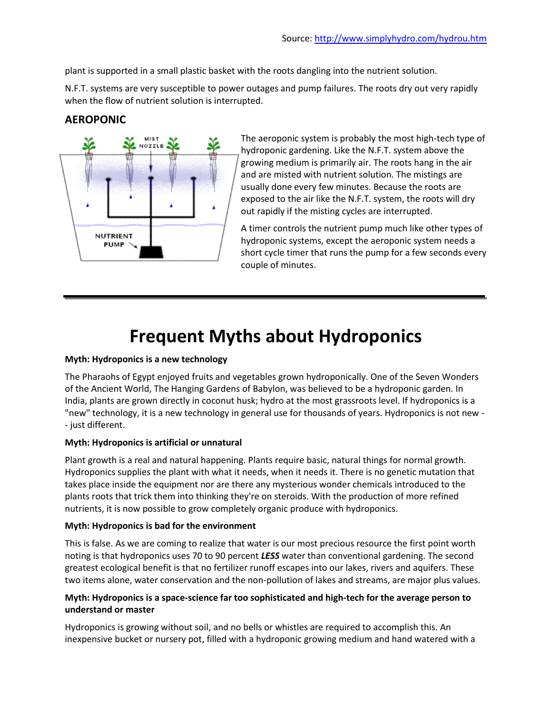plant is supported in a small plastic basket with the roots dangling into the nutrient solution.

N.F.T. systems are very susceptible to power outages and pump failures. The roots dry out very rapidly when the flow of nutrient solution is interrupted.

### **AEROPONIC**



The aeroponic system is probably the most high-tech type of hydroponic gardening. Like the N.F.T. system above the growing medium is primarily air. The roots hang in the air and are misted with nutrient solution. The mistings are usually done every few minutes. Because the roots are exposed to the air like the N.F.T. system, the roots will dry out rapidly if the misting cycles are interrupted.

A timer controls the nutrient pump much like other types of hydroponic systems, except the aeroponic system needs a short cycle timer that runs the pump for a few seconds every couple of minutes.

# **Frequent Myths about Hydroponics**

#### **Myth: Hydroponics is a new technology**

The Pharaohs of Egypt enjoyed fruits and vegetables grown hydroponically. One of the Seven Wonders of the Ancient World, The Hanging Gardens of Babylon, was believed to be a hydroponic garden. In India, plants are grown directly in coconut husk; hydro at the most grassroots level. If hydroponics is a "new" technology, it is a new technology in general use for thousands of years. Hydroponics is not new - - just different.

#### **Myth: Hydroponics is artificial or unnatural**

Plant growth is a real and natural happening. Plants require basic, natural things for normal growth. Hydroponics supplies the plant with what it needs, when it needs it. There is no genetic mutation that takes place inside the equipment nor are there any mysterious wonder chemicals introduced to the plants roots that trick them into thinking they're on steroids. With the production of more refined nutrients, it is now possible to grow completely organic produce with hydroponics.

#### **Myth: Hydroponics is bad for the environment**

This is false. As we are coming to realize that water is our most precious resource the first point worth noting is that hydroponics uses 70 to 90 percent *LESS* water than conventional gardening. The second greatest ecological benefit is that no fertilizer runoff escapes into our lakes, rivers and aquifers. These two items alone, water conservation and the non-pollution of lakes and streams, are major plus values.

#### **Myth: Hydroponics is a space-science far too sophisticated and high-tech for the average person to understand or master**

Hydroponics is growing without soil, and no bells or whistles are required to accomplish this. An inexpensive bucket or nursery pot, filled with a hydroponic growing medium and hand watered with a